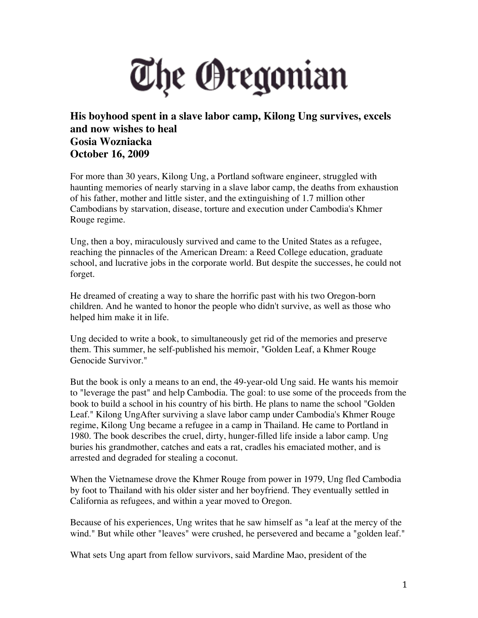## The Oregonian

## **His boyhood spent in a slave labor camp, Kilong Ung survives, excels and now wishes to heal Gosia Wozniacka October 16, 2009**

For more than 30 years, Kilong Ung, a Portland software engineer, struggled with haunting memories of nearly starving in a slave labor camp, the deaths from exhaustion of his father, mother and little sister, and the extinguishing of 1.7 million other Cambodians by starvation, disease, torture and execution under Cambodia's Khmer Rouge regime.

Ung, then a boy, miraculously survived and came to the United States as a refugee, reaching the pinnacles of the American Dream: a Reed College education, graduate school, and lucrative jobs in the corporate world. But despite the successes, he could not forget.

He dreamed of creating a way to share the horrific past with his two Oregon-born children. And he wanted to honor the people who didn't survive, as well as those who helped him make it in life.

Ung decided to write a book, to simultaneously get rid of the memories and preserve them. This summer, he self-published his memoir, "Golden Leaf, a Khmer Rouge Genocide Survivor."

But the book is only a means to an end, the 49-year-old Ung said. He wants his memoir to "leverage the past" and help Cambodia. The goal: to use some of the proceeds from the book to build a school in his country of his birth. He plans to name the school "Golden Leaf." Kilong UngAfter surviving a slave labor camp under Cambodia's Khmer Rouge regime, Kilong Ung became a refugee in a camp in Thailand. He came to Portland in 1980. The book describes the cruel, dirty, hunger-filled life inside a labor camp. Ung buries his grandmother, catches and eats a rat, cradles his emaciated mother, and is arrested and degraded for stealing a coconut.

When the Vietnamese drove the Khmer Rouge from power in 1979, Ung fled Cambodia by foot to Thailand with his older sister and her boyfriend. They eventually settled in California as refugees, and within a year moved to Oregon.

Because of his experiences, Ung writes that he saw himself as "a leaf at the mercy of the wind." But while other "leaves" were crushed, he persevered and became a "golden leaf."

What sets Ung apart from fellow survivors, said Mardine Mao, president of the